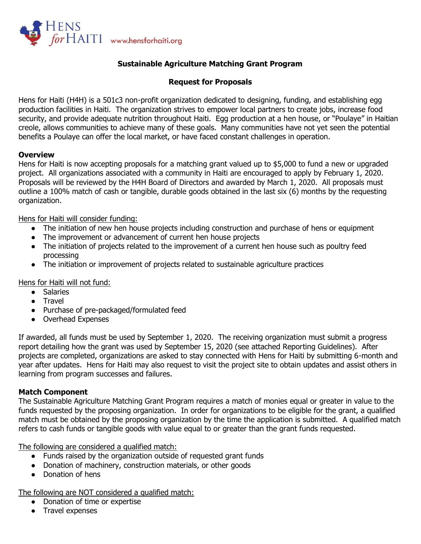

## **Sustainable Agriculture Matching Grant Program**

## **Request for Proposals**

Hens for Haiti (H4H) is a 501c3 non-profit organization dedicated to designing, funding, and establishing egg production facilities in Haiti. The organization strives to empower local partners to create jobs, increase food security, and provide adequate nutrition throughout Haiti. Egg production at a hen house, or "Poulaye" in Haitian creole, allows communities to achieve many of these goals. Many communities have not yet seen the potential benefits a Poulaye can offer the local market, or have faced constant challenges in operation.

### **Overview**

Hens for Haiti is now accepting proposals for a matching grant valued up to \$5,000 to fund a new or upgraded project. All organizations associated with a community in Haiti are encouraged to apply by February 1, 2020. Proposals will be reviewed by the H4H Board of Directors and awarded by March 1, 2020. All proposals must outline a 100% match of cash or tangible, durable goods obtained in the last six (6) months by the requesting organization.

Hens for Haiti will consider funding:

- The initiation of new hen house projects including construction and purchase of hens or equipment
- The improvement or advancement of current hen house projects
- The initiation of projects related to the improvement of a current hen house such as poultry feed processing
- The initiation or improvement of projects related to sustainable agriculture practices

Hens for Haiti will not fund:

- Salaries
- Travel
- Purchase of pre-packaged/formulated feed
- Overhead Expenses

If awarded, all funds must be used by September 1, 2020. The receiving organization must submit a progress report detailing how the grant was used by September 15, 2020 (see attached Reporting Guidelines). After projects are completed, organizations are asked to stay connected with Hens for Haiti by submitting 6-month and year after updates. Hens for Haiti may also request to visit the project site to obtain updates and assist others in learning from program successes and failures.

### **Match Component**

The Sustainable Agriculture Matching Grant Program requires a match of monies equal or greater in value to the funds requested by the proposing organization. In order for organizations to be eligible for the grant, a qualified match must be obtained by the proposing organization by the time the application is submitted. A qualified match refers to cash funds or tangible goods with value equal to or greater than the grant funds requested.

The following are considered a qualified match:

- Funds raised by the organization outside of requested grant funds
- Donation of machinery, construction materials, or other goods
- Donation of hens

The following are NOT considered a qualified match:

- Donation of time or expertise
- Travel expenses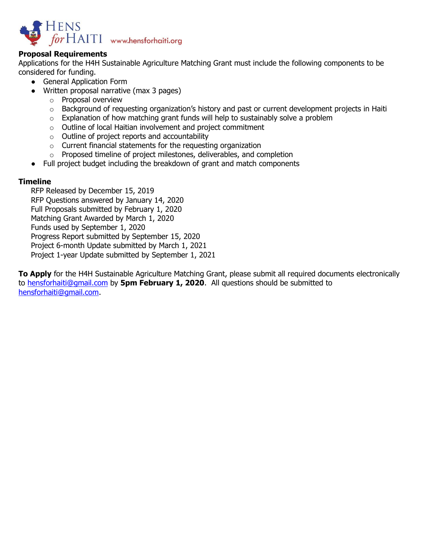

## **Proposal Requirements**

Applications for the H4H Sustainable Agriculture Matching Grant must include the following components to be considered for funding.

- General Application Form
- Written proposal narrative (max 3 pages)
	- o Proposal overview
	- $\circ$  Background of requesting organization's history and past or current development projects in Haiti
	- $\circ$  Explanation of how matching grant funds will help to sustainably solve a problem
	- o Outline of local Haitian involvement and project commitment
	- o Outline of project reports and accountability
	- o Current financial statements for the requesting organization
	- o Proposed timeline of project milestones, deliverables, and completion
- Full project budget including the breakdown of grant and match components

### **Timeline**

RFP Released by December 15, 2019 RFP Questions answered by January 14, 2020 Full Proposals submitted by February 1, 2020 Matching Grant Awarded by March 1, 2020 Funds used by September 1, 2020 Progress Report submitted by September 15, 2020 Project 6-month Update submitted by March 1, 2021 Project 1-year Update submitted by September 1, 2021

**To Apply** for the H4H Sustainable Agriculture Matching Grant, please submit all required documents electronically to [hensforhaiti@gmail.com](mailto:hensforhaiti@gmail.com) by **5pm February 1, 2020**. All questions should be submitted to [hensforhaiti@gmail.com.](mailto:hensforhaiti@gmail.com)